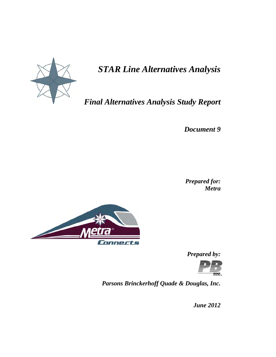

# *STAR Line Alternatives Analysis*

# *Final Alternatives Analysis Study Report*

*Document 9* 

*Prepared for: Metra* 



*Prepared by:* 



*Parsons Brinckerhoff Quade & Douglas, Inc.* 

*June 2012*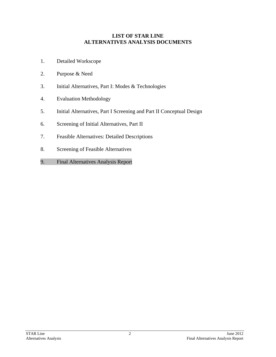#### **LIST OF STAR LINE ALTERNATIVES ANALYSIS DOCUMENTS**

- 1. Detailed Workscope
- 2. Purpose & Need
- 3. Initial Alternatives, Part I: Modes & Technologies
- 4. Evaluation Methodology
- 5. Initial Alternatives, Part I Screening and Part II Conceptual Design
- 6. Screening of Initial Alternatives, Part II
- 7. Feasible Alternatives: Detailed Descriptions
- 8. Screening of Feasible Alternatives
- 9. Final Alternatives Analysis Report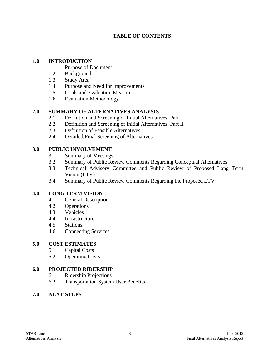# **TABLE OF CONTENTS**

#### **1.0 INTRODUCTION**

- 1.1 Purpose of Document
- 1.2 Background
- 1.3 Study Area
- 1.4 Purpose and Need for Improvements
- 1.5 Goals and Evaluation Measures
- 1.6 Evaluation Methodology

# **2.0 SUMMARY OF ALTERNATIVES ANALYSIS**

- 2.1 Definition and Screening of Initial Alternatives, Part I
- 2.2 Definition and Screening of Initial Alternatives, Part II
- 2.3 Definition of Feasible Alternatives
- 2.4 Detailed/Final Screening of Alternatives

# **3.0 PUBLIC INVOLVEMENT**

- 3.1 Summary of Meetings
- 3.2 Summary of Public Review Comments Regarding Conceptual Alternatives
- 3.3 Technical Advisory Committee and Public Review of Proposed Long Term Vision (LTV)
- 3.4 Summary of Public Review Comments Regarding the Proposed LTV

# **4.0 LONG TERM VISION**

- 4.1 General Description
- 4.2 Operations
- 4.3 Vehicles
- 4.4 Infrastructure
- 4.5 Stations
- 4.6 Connecting Services

# **5.0 COST ESTIMATES**

- 5.1 Capital Costs
- 5.2 Operating Costs

# **6.0 PROJECTED RIDERSHIP**

- 6.1 Ridership Projections
- 6.2 Transportation System User Benefits

# **7.0 NEXT STEPS**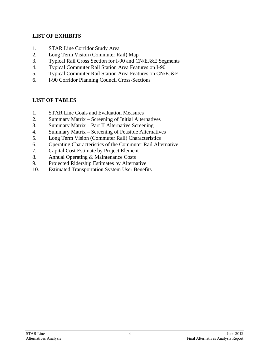# **LIST OF EXHIBITS**

- 1. STAR Line Corridor Study Area
- 2. Long Term Vision (Commuter Rail) Map
- 3. Typical Rail Cross Section for I-90 and CN/EJ&E Segments
- 4. Typical Commuter Rail Station Area Features on I-90
- 5. Typical Commuter Rail Station Area Features on CN/EJ&E
- 6. I-90 Corridor Planning Council Cross-Sections

# **LIST OF TABLES**

- 1. STAR Line Goals and Evaluation Measures
- 2. Summary Matrix Screening of Initial Alternatives
- 3. Summary Matrix Part II Alternative Screening
- 4. Summary Matrix Screening of Feasible Alternatives
- 5. Long Term Vision (Commuter Rail) Characteristics
- 6. Operating Characteristics of the Commuter Rail Alternative
- 7. Capital Cost Estimate by Project Element
- 8. Annual Operating & Maintenance Costs
- 9. Projected Ridership Estimates by Alternative
- 10. Estimated Transportation System User Benefits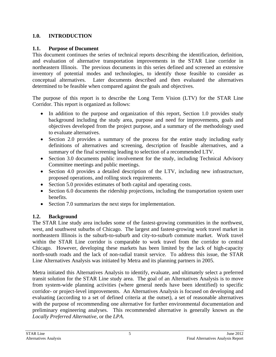# **1.0. INTRODUCTION**

# **1.1. Purpose of Document**

This document continues the series of technical reports describing the identification, definition, and evaluation of alternative transportation improvements in the STAR Line corridor in northeastern Illinois. The previous documents in this series defined and screened an extensive inventory of potential modes and technologies, to identify those feasible to consider as conceptual alternatives. Later documents described and then evaluated the alternatives determined to be feasible when compared against the goals and objectives.

The purpose of this report is to describe the Long Term Vision (LTV) for the STAR Line Corridor. This report is organized as follows:

- In addition to the purpose and organization of this report, Section 1.0 provides study background including the study area, purpose and need for improvements, goals and objectives developed from the project purpose, and a summary of the methodology used to evaluate alternatives.
- Section 2.0 provides a summary of the process for the entire study including early definitions of alternatives and screening, description of feasible alternatives, and a summary of the final screening leading to selection of a recommended LTV.
- Section 3.0 documents public involvement for the study, including Technical Advisory Committee meetings and public meetings.
- Section 4.0 provides a detailed description of the LTV, including new infrastructure, proposed operations, and rolling stock requirements.
- Section 5.0 provides estimates of both capital and operating costs.
- Section 6.0 documents the ridership projections, including the transportation system user benefits.
- Section 7.0 summarizes the next steps for implementation.

# **1.2. Background**

The STAR Line study area includes some of the fastest-growing communities in the northwest, west, and southwest suburbs of Chicago. The largest and fastest-growing work travel market in northeastern Illinois is the suburb-to-suburb and city-to-suburb commute market. Work travel within the STAR Line corridor is comparable to work travel from the corridor to central Chicago. However, developing these markets has been limited by the lack of high-capacity north-south roads and the lack of non-radial transit service. To address this issue, the STAR Line Alternatives Analysis was initiated by Metra and its planning partners in 2005.

Metra initiated this Alternatives Analysis to identify, evaluate, and ultimately select a preferred transit solution for the STAR Line study area. The goal of an Alternatives Analysis is to move from system-wide planning activities (where general needs have been identified) to specific corridor- or project-level improvements. An Alternatives Analysis is focused on developing and evaluating (according to a set of defined criteria at the outset), a set of reasonable alternatives with the purpose of recommending one alternative for further environmental documentation and preliminary engineering analyses. This recommended alternative is generally known as the *Locally Preferred Alternative*, or the *LPA*.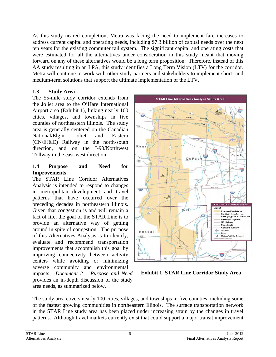As this study neared completion, Metra was facing the need to implement fare increases to address current capital and operating needs, including \$7.3 billion of capital needs over the next ten years for the existing commuter rail system. The significant capital and operating costs that were estimated for all the alternatives under consideration in this study meant that moving forward on any of these alternatives would be a long term proposition. Therefore, instead of this AA study resulting in an LPA, this study identifies a Long Term Vision (LTV) for the corridor. Metra will continue to work with other study partners and stakeholders to implement short- and medium-term solutions that support the ultimate implementation of the LTV.

# **1.3 Study Area**

The 55-mile study corridor extends from the Joliet area to the O'Hare International Airport area (Exhibit 1), linking nearly 100 cities, villages, and townships in five counties of northeastern Illinois. The study area is generally centered on the Canadian National/Elgin, Joliet and Eastern (CN/EJ&E) Railway in the north-south direction, and on the I-90/Northwest Tollway in the east-west direction.

#### **1.4 Purpose and Need for Improvements**

The STAR Line Corridor Alternatives Analysis is intended to respond to changes in metropolitan development and travel patterns that have occurred over the preceding decades in northeastern Illinois. Given that congestion is and will remain a fact of life, the goal of the STAR Line is to provide an alternative way of getting around in spite of congestion. The purpose of this Alternatives Analysis is to identify, evaluate and recommend transportation improvements that accomplish this goal by improving connectivity between activity centers while avoiding or minimizing adverse community and environmental impacts. *Document 2 – Purpose and Need* provides an in-depth discussion of the study area needs, as summarized below.



**Exhibit 1 STAR Line Corridor Study Area** 

The study area covers nearly 100 cities, villages, and townships in five counties, including some of the fastest growing communities in northeastern Illinois. The surface transportation network in the STAR Line study area has been placed under increasing strain by the changes in travel patterns. Although travel markets currently exist that could support a major transit improvement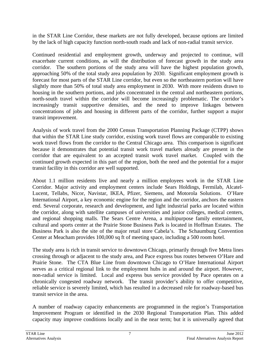in the STAR Line Corridor, these markets are not fully developed, because options are limited by the lack of high capacity function north-south roads and lack of non-radial transit service.

Continued residential and employment growth, underway and projected to continue, will exacerbate current conditions, as will the distribution of forecast growth in the study area corridor. The southern portions of the study area will have the highest population growth, approaching 50% of the total study area population by 2030. Significant employment growth is forecast for most parts of the STAR Line corridor, but even so the northeastern portion will have slightly more than 50% of total study area employment in 2030. With more residents drawn to housing in the southern portions, and jobs concentrated in the central and northeastern portions, north-south travel within the corridor will become increasingly problematic. The corridor's increasingly transit supportive densities, and the need to improve linkages between concentrations of jobs and housing in different parts of the corridor, further support a major transit improvement.

Analysis of work travel from the 2000 Census Transportation Planning Package (CTPP) shows that within the STAR Line study corridor, existing work travel flows are comparable to existing work travel flows from the corridor to the Central Chicago area. This comparison is significant because it demonstrates that potential transit work travel markets already are present in the corridor that are equivalent to an accepted transit work travel market. Coupled with the continued growth expected in this part of the region, both the need and the potential for a major transit facility in this corridor are well supported.

About 1.1 million residents live and nearly a million employees work in the STAR Line Corridor. Major activity and employment centers include Sears Holdings, Fermilab, Alcatel-Lucent, Tellabs, Nicor, Navistar, IKEA, Pfizer, Siemens, and Motorola Solutions. O'Hare International Airport, a key economic engine for the region and the corridor, anchors the eastern end. Several corporate, research and development, and light industrial parks are located within the corridor, along with satellite campuses of universities and junior colleges, medical centers, and regional shopping malls. The Sears Centre Arena, a multipurpose family entertainment, cultural and sports center at the Prairie Stone Business Park is located in Hoffman Estates. The Business Park is also the site of the major retail store Cabela's. The Schaumburg Convention Center at Meacham provides 100,000 sq ft of meeting space, including a 500 room hotel.

The study area is rich in transit service to downtown Chicago, primarily through five Metra lines crossing through or adjacent to the study area, and Pace express bus routes between O'Hare and Prairie Stone. The CTA Blue Line from downtown Chicago to O'Hare International Airport serves as a critical regional link to the employment hubs in and around the airport. However, non-radial service is limited. Local and express bus service provided by Pace operates on a chronically congested roadway network. The transit provider's ability to offer competitive, reliable service is severely limited, which has resulted in a decreased role for roadway-based bus transit service in the area.

A number of roadway capacity enhancements are programmed in the region's Transportation Improvement Program or identified in the 2030 Regional Transportation Plan. This added capacity may improve conditions locally and in the near term; but it is universally agreed that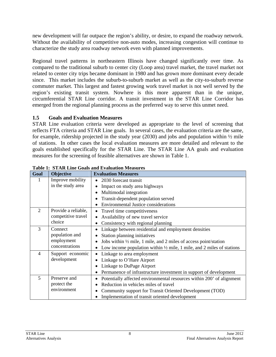new development will far outpace the region's ability, or desire, to expand the roadway network. Without the availability of competitive non-auto modes, increasing congestion will continue to characterize the study area roadway network even with planned improvements.

Regional travel patterns in northeastern Illinois have changed significantly over time. As compared to the traditional suburb to center city (Loop area) travel market, the travel market not related to center city trips became dominant in 1980 and has grown more dominant every decade since. This market includes the suburb-to-suburb market as well as the city-to-suburb reverse commuter market. This largest and fastest growing work travel market is not well served by the region's existing transit system. Nowhere is this more apparent than in the unique, circumferential STAR Line corridor. A transit investment in the STAR Line Corridor has emerged from the regional planning process as the preferred way to serve this unmet need.

#### **1.5 Goals and Evaluation Measures**

STAR Line evaluation criteria were developed as appropriate to the level of screening that reflects FTA criteria and STAR Line goals. In several cases, the evaluation criteria are the same, for example, ridership projected in the study year (2030) and jobs and population within  $\frac{1}{2}$  mile of stations. In other cases the local evaluation measures are more detailed and relevant to the goals established specifically for the STAR Line. The STAR Line AA goals and evaluation measures for the screening of feasible alternatives are shown in Table 1.

| Goal           | Objective           | <b>Evaluation Measures</b>                                                       |
|----------------|---------------------|----------------------------------------------------------------------------------|
|                | Improve mobility    | 2030 forecast transit<br>$\bullet$                                               |
|                | in the study area   | Impact on study area highways                                                    |
|                |                     | Multimodal integration                                                           |
|                |                     | Transit-dependent population served                                              |
|                |                     | <b>Environmental Justice considerations</b>                                      |
| $\overline{2}$ | Provide a reliable, | Travel time competitiveness                                                      |
|                | competitive travel  | Availability of new travel service                                               |
|                | choice              | Consistency with regional planning                                               |
| 3              | Connect             | Linkage between residential and employment densities                             |
|                | population and      | Station planning initiatives                                                     |
|                | employment          | Jobs within $\frac{1}{2}$ mile, 1 mile, and 2 miles of access point/station      |
|                | concentrations      | Low income population within $\frac{1}{2}$ mile, 1 mile, and 2 miles of stations |
| 4              | Support economic    | Linkage to area employment                                                       |
|                | development         | Linkage to O'Hare Airport                                                        |
|                |                     | Linkage to DuPage Airport                                                        |
|                |                     | Permanence of infrastructure investment in support of development                |
| 5              | Preserve and        | Potentially affected environmental resources within 200' of alignment            |
|                | protect the         | Reduction in vehicles miles of travel                                            |
|                | environment         | Community support for Transit Oriented Development (TOD)                         |
|                |                     | Implementation of transit oriented development                                   |

**Table 1: STAR Line Goals and Evaluation Measures**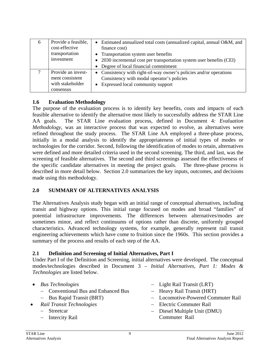| 6 | Provide a feasible,<br>cost-effective<br>transportation<br>investment  | Estimated annualized total costs (annualized capital, annual O&M, and<br>finance cost)<br>• Transportation system user benefits<br>2030 incremental cost per transportation system user benefits (CEI)<br>• Degree of local financial commitment |
|---|------------------------------------------------------------------------|--------------------------------------------------------------------------------------------------------------------------------------------------------------------------------------------------------------------------------------------------|
|   | Provide an invest-<br>ment consistent<br>with stakeholder<br>consensus | • Consistency with right-of-way owner's policies and/or operations<br>Consistency with modal operator's policies<br>Expressed local community support                                                                                            |

#### **1.6 Evaluation Methodology**

The purpose of the evaluation process is to identify key benefits, costs and impacts of each feasible alternative to identify the alternative most likely to successfully address the STAR Line AA goals. The STAR Line evaluation process, defined in Document 4*: Evaluation Methodology*, was an interactive process that was expected to evolve, as alternatives were refined throughout the study process. The STAR Line AA employed a three-phase process, initially in a modal analysis to identify the appropriateness of initial types of modes or technologies for the corridor. Second, following the identification of modes to retain, alternatives were defined and more detailed criteria used in the second screening. The third, and last, was the screening of feasible alternatives. The second and third screenings assessed the effectiveness of the specific candidate alternatives in meeting the project goals. The three-phase process is described in more detail below. Section 2.0 summarizes the key inputs, outcomes, and decisions made using this methodology.

#### **2.0 SUMMARY OF ALTERNATIVES ANALYSIS**

The Alternatives Analysis study began with an initial range of conceptual alternatives, including transit and highway options. This initial range focused on modes and broad "families" of potential infrastructure improvements. The differences between alternatives/modes are sometimes minor, and reflect continuums of options rather than discrete, uniformly grouped characteristics. Advanced technology systems, for example, generally represent rail transit engineering achievements which have come to fruition since the 1960s. This section provides a summary of the process and results of each step of the AA.

#### **2.1 Definition and Screening of Initial Alternatives, Part I**

Under Part I of the Definition and Screening, initial alternatives were developed. The conceptual modes/technologies described in Document 3 – *Initial Alternatives, Part 1: Modes & Technologies* are listed below.

- *Bus Technologies*
	- Conventional Bus and Enhanced Bus
	- $-$  Bus Rapid Transit (BRT)
- *Rail Transit Technologies* 
	- Streetcar
	- Intercity Rail
- Light Rail Transit (LRT)
- Heavy Rail Transit (HRT)
- Locomotive-Powered Commuter Rail
- Electric Commuter Rail
- Diesel Multiple Unit (DMU) Commuter Rail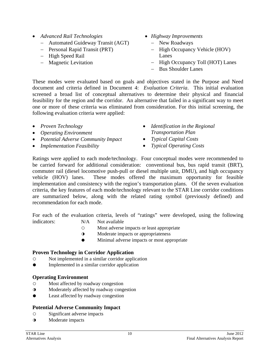- *Advanced Rail Technologies* 
	- Automated Guideway Transit (AGT)
	- Personal Rapid Transit (PRT)
	- High Speed Rail
	- Magnetic Levitation
- *Highway Improvements* 
	- New Roadways
	- High Occupancy Vehicle (HOV) Lanes
	- High Occupancy Toll (HOT) Lanes
	- Bus Shoulder Lanes

These modes were evaluated based on goals and objectives stated in the Purpose and Need document and criteria defined in Document 4: *Evaluation Criteria*. This initial evaluation screened a broad list of conceptual alternatives to determine their physical and financial feasibility for the region and the corridor. An alternative that failed in a significant way to meet one or more of these criteria was eliminated from consideration. For this initial screening, the following evaluation criteria were applied:

- *Proven Technology*
- *Operating Environment*
- *Potential Adverse Community Impact*
- *Implementation Feasibility*
- *Identification in the Regional Transportation Plan*
- *Typical Capital Costs*
- *Typical Operating Costs*

Ratings were applied to each mode/technology. Four conceptual modes were recommended to be carried forward for additional consideration: conventional bus, bus rapid transit (BRT), commuter rail (diesel locomotive push-pull or diesel multiple unit, DMU), and high occupancy vehicle (HOV) lanes. These modes offered the maximum opportunity for feasible implementation and consistency with the region's transportation plans. Of the seven evaluation criteria, the key features of each mode/technology relevant to the STAR Line corridor conditions are summarized below, along with the related rating symbol (previously defined) and recommendation for each mode.

For each of the evaluation criteria, levels of "ratings" were developed, using the following indicators: N/A Not available

- Most adverse impacts or least appropriate
- ◑ Moderate impacts or appropriateness
- Minimal adverse impacts or most appropriate

#### **Proven Technology in Corridor Application**

- Not implemented in a similar corridor application
- Implemented in a similar corridor application

# **Operating Environment**

- Most affected by roadway congestion
- ◑ Moderately affected by roadway congestion
- Least affected by roadway congestion

# **Potential Adverse Community Impact**

- Significant adverse impacts
- ◑ Moderate impacts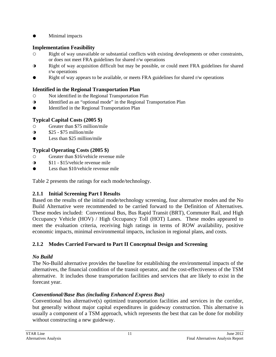● Minimal impacts

# **Implementation Feasibility**

- Right of way unavailable or substantial conflicts with existing developments or other constraints, or does not meet FRA guidelines for shared r/w operations
- ◑ Right of way acquisition difficult but may be possible, or could meet FRA guidelines for shared r/w operations
- Right of way appears to be available, or meets FRA guidelines for shared r/w operations

# **Identified in the Regional Transportation Plan**

- Not identified in the Regional Transportation Plan
- ◑ Identified as an "optional mode" in the Regional Transportation Plan
- Identified in the Regional Transportation Plan

# **Typical Capital Costs (2005 \$)**

- Greater than \$75 million/mile
- $\Omega$  \$25 \$75 million/mile
- $\bullet$  Less than \$25 million/mile

# **Typical Operating Costs (2005 \$)**

- Greater than \$16/vehicle revenue mile
- ◑ \$11 \$15/vehicle revenue mile
- Less than \$10/vehicle revenue mile

Table 2 presents the ratings for each mode/technology.

# **2.1.1 Initial Screening Part I Results**

Based on the results of the initial mode/technology screening, four alternative modes and the No Build Alternative were recommended to be carried forward to the Definition of Alternatives. These modes included: Conventional Bus, Bus Rapid Transit (BRT), Commuter Rail, and High Occupancy Vehicle (HOV) / High Occupancy Toll (HOT) Lanes. These modes appeared to meet the evaluation criteria, receiving high ratings in terms of ROW availability, positive economic impacts, minimal environmental impacts, inclusion in regional plans, and costs.

# **2.1.2 Modes Carried Forward to Part II Conceptual Design and Screening**

# *No Build*

The No-Build alternative provides the baseline for establishing the environmental impacts of the alternatives, the financial condition of the transit operator, and the cost-effectiveness of the TSM alternative. It includes those transportation facilities and services that are likely to exist in the forecast year.

# *Conventional/Base Bus (including Enhanced Express Bus)*

Conventional bus alternative(s) optimized transportation facilities and services in the corridor, but generally without major capital expenditures in guideway construction. This alternative is usually a component of a TSM approach, which represents the best that can be done for mobility without constructing a new guideway.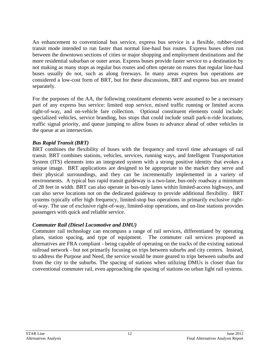An enhancement to conventional bus service, express bus service is a flexible, rubber-tired transit mode intended to run faster than normal line-haul bus routes. Express buses often run between the downtown sections of cities or major shopping and employment destinations and the more residential suburban or outer areas. Express buses provide faster service to a destination by not making as many stops as regular bus routes and often operate on routes that regular line-haul buses usually do not, such as along freeways. In many areas express bus operations are considered a low-cost form of BRT, but for these discussions, BRT and express bus are treated separately.

For the purposes of the AA, the following constituent elements were assumed to be a necessary part of any express bus service: limited stop service, mixed traffic running or limited access right-of-way, and on-vehicle fare collection. Optional constituent elements could include: specialized vehicles, service branding, bus stops that could include small park-n-ride locations, traffic signal priority, and queue jumping to allow buses to advance ahead of other vehicles in the queue at an intersection.

#### *Bus Rapid Transit (BRT)*

BRT combines the flexibility of buses with the frequency and travel time advantages of rail transit. BRT combines stations, vehicles, services, running ways, and Intelligent Transportation System (ITS) elements into an integrated system with a strong positive identity that evokes a unique image. BRT applications are designed to be appropriate to the market they serve and their physical surroundings, and they can be incrementally implemented in a variety of environments. A typical bus rapid transit guideway is a two-lane, bus-only roadway a minimum of 28 feet in width. BRT can also operate in bus-only lanes within limited-access highways, and can also serve locations not on the dedicated guideway to provide additional flexibility. BRT systems typically offer high frequency, limited-stop bus operations in primarily exclusive rightof-way. The use of exclusive right-of-way, limited-stop operations, and on-line stations provides passengers with quick and reliable service.

#### *Commuter Rail (Diesel Locomotive and DMU)*

Commuter rail technology can encompass a range of rail services, differentiated by operating plans, station spacing, and type of equipment. The commuter rail services proposed as alternatives are FRA compliant - being capable of operating on the tracks of the existing national railroad network - but not primarily focusing on trips between suburbs and city centers. Instead, to address the Purpose and Need, the service would be more geared to trips between suburbs and from the city to the suburbs. The spacing of stations when utilizing DMUs is closer than for conventional commuter rail, even approaching the spacing of stations on urban light rail systems.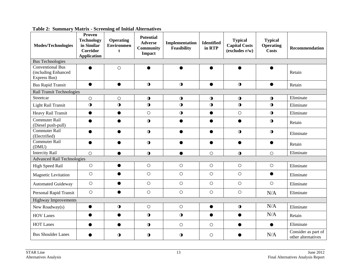| <b>Modes/Technologies</b>                                      | Proven<br><b>Technology</b><br>in Similar<br><b>Corridor</b><br><b>Application</b> | <b>Operating</b><br><b>Environmen</b><br>t | <b>Potential</b><br><b>Adverse</b><br><b>Community</b><br><b>Impact</b> | Implementation<br><b>Feasibility</b> | <b>Identified</b><br>in RTP | <b>Typical</b><br><b>Capital Costs</b><br>$\mathbf{(excludes } r/w)$ | <b>Typical</b><br><b>Operating</b><br><b>Costs</b> | Recommendation                            |
|----------------------------------------------------------------|------------------------------------------------------------------------------------|--------------------------------------------|-------------------------------------------------------------------------|--------------------------------------|-----------------------------|----------------------------------------------------------------------|----------------------------------------------------|-------------------------------------------|
| <b>Bus Technologies</b>                                        |                                                                                    |                                            |                                                                         |                                      |                             |                                                                      |                                                    |                                           |
| <b>Conventional Bus</b><br>(including Enhanced<br>Express Bus) | $\bullet$                                                                          | $\circ$                                    |                                                                         | ●                                    | ●                           |                                                                      | $\bullet$                                          | Retain                                    |
| <b>Bus Rapid Transit</b>                                       | $\bullet$                                                                          | $\bullet$                                  | $\bigcirc$                                                              | $\mathbf 0$                          | $\bullet$                   | $\bigcirc$                                                           | $\bullet$                                          | Retain                                    |
| Rail Transit Technologies                                      |                                                                                    |                                            |                                                                         |                                      |                             |                                                                      |                                                    |                                           |
| Streetcar                                                      | $\circ$                                                                            | $\bigcirc$                                 | $\bigcirc$                                                              | $\mathbf 0$                          | $\bigcirc$                  | $\bigcirc$                                                           | $\bigcirc$                                         | Eliminate                                 |
| <b>Light Rail Transit</b>                                      | $\bullet$                                                                          | $\mathbf 0$                                | $\mathbf 0$                                                             | $\bullet$                            | $\mathbf 0$                 | $\bullet$                                                            | $\bigcirc$                                         | Eliminate                                 |
| Heavy Rail Transit                                             | $\bullet$                                                                          | $\bullet$                                  | $\circ$                                                                 | $\mathbf 0$                          | $\bullet$                   | $\circ$                                                              | $\mathbf 0$                                        | Eliminate                                 |
| <b>Commuter Rail</b><br>(Diesel push-pull)                     |                                                                                    |                                            | $\bullet$                                                               |                                      | ●                           |                                                                      | $\bullet$                                          | Retain                                    |
| Commuter Rail<br>(Electrified)                                 | $\bullet$                                                                          | $\bullet$                                  | $\bigcirc$                                                              | $\bullet$                            | $\bullet$                   | $\bigcirc$                                                           | $\mathbf 0$                                        | Eliminate                                 |
| <b>Commuter Rail</b><br>(DMU)                                  | $\bullet$                                                                          | $\bullet$                                  | $\bullet$                                                               | $\bullet$                            | $\bullet$                   | $\bullet$                                                            | $\bullet$                                          | Retain                                    |
| <b>Intercity Rail</b>                                          | $\circ$                                                                            | $\bullet$                                  | $\mathbf 0$                                                             | $\bullet$                            | $\circ$                     | $\mathbf 0$                                                          | $\circ$                                            | Eliminate                                 |
| <b>Advanced Rail Technologies</b>                              |                                                                                    |                                            |                                                                         |                                      |                             |                                                                      |                                                    |                                           |
| <b>High Speed Rail</b>                                         | $\bigcirc$                                                                         | $\bullet$                                  | $\circ$                                                                 | $\bigcirc$                           | $\circ$                     | $\bigcirc$                                                           | $\bigcirc$                                         | Eliminate                                 |
| Magnetic Levitation                                            | $\bigcirc$                                                                         | $\bullet$                                  | $\bigcirc$                                                              | $\bigcirc$                           | $\circ$                     | $\circ$                                                              | $\bullet$                                          | Eliminate                                 |
| <b>Automated Guideway</b>                                      | $\circ$                                                                            | $\bullet$                                  | $\circ$                                                                 | $\circ$                              | $\circ$                     | $\circ$                                                              | $\circ$                                            | Eliminate                                 |
| Personal Rapid Transit                                         | $\circ$                                                                            | $\bullet$                                  | $\circ$                                                                 | $\bigcirc$                           | $\circ$                     | $\bigcirc$                                                           | N/A                                                | Eliminate                                 |
| <b>Highway Improvements</b>                                    |                                                                                    |                                            |                                                                         |                                      |                             |                                                                      |                                                    |                                           |
| New Roadway(s)                                                 | $\bullet$                                                                          | $\bigcirc$                                 | $\bigcirc$                                                              | $\bigcirc$                           | $\bullet$                   | $\bigcirc$                                                           | N/A                                                | Eliminate                                 |
| <b>HOV Lanes</b>                                               | $\bullet$                                                                          | $\bullet$                                  | $\bigcirc$                                                              | $\mathbf 0$                          | $\bullet$                   |                                                                      | N/A                                                | Retain                                    |
| <b>HOT Lanes</b>                                               |                                                                                    | ●                                          | $\bigcirc$                                                              | $\bigcirc$                           | $\circ$                     |                                                                      | $\bullet$                                          | Eliminate                                 |
| <b>Bus Shoulder Lanes</b>                                      |                                                                                    | $\mathbf 0$                                | $\bullet$                                                               | $\mathbf 0$                          | $\circ$                     |                                                                      | N/A                                                | Consider as part of<br>other alternatives |

**Table 2: Summary Matrix - Screening of Initial Alternatives**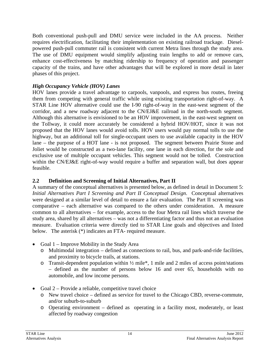Both conventional push-pull and DMU service were included in the AA process. Neither requires electrification, facilitating their implementation on existing railroad trackage. Dieselpowered push-pull commuter rail is consistent with current Metra lines through the study area. The use of DMU equipment would simplify adjusting train lengths to add or remove cars, enhance cost-effectiveness by matching ridership to frequency of operation and passenger capacity of the trains, and have other advantages that will be explored in more detail in later phases of this project.

#### *High Occupancy Vehicle (HOV) Lanes*

HOV lanes provide a travel advantage to carpools, vanpools, and express bus routes, freeing them from competing with general traffic while using existing transportation right-of-way. A STAR Line HOV alternative could use the I-90 right-of-way in the east-west segment of the corridor, and a new roadway adjacent to the CN/EJ&E railroad in the north-south segment. Although this alternative is envisioned to be an HOV improvement, in the east-west segment on the Tollway, it could more accurately be considered a hybrid HOV/HOT, since it was not proposed that the HOV lanes would avoid tolls. HOV users would pay normal tolls to use the highway, but an additional toll for single-occupant users to use available capacity in the HOV lane – the purpose of a HOT lane - is not proposed. The segment between Prairie Stone and Joliet would be constructed as a two-lane facility, one lane in each direction, for the sole and exclusive use of multiple occupant vehicles. This segment would not be tolled. Construction within the CN/EJ&E right-of-way would require a buffer and separation wall, but does appear feasible.

# **2.2 Definition and Screening of Initial Alternatives, Part II**

A summary of the conceptual alternatives is presented below, as defined in detail in Document 5: *Initial Alternatives Part I Screening and Part II Conceptual Design*. Conceptual alternatives were designed at a similar level of detail to ensure a fair evaluation. The Part II screening was comparative – each alternative was compared to the others under consideration. A measure common to all alternatives – for example, access to the four Metra rail lines which traverse the study area, shared by all alternatives – was not a differentiating factor and thus not an evaluation measure. Evaluation criteria were directly tied to STAR Line goals and objectives and listed below. The asterisk (\*) indicates an FTA- required measure.

- Goal  $1$  Improve Mobility in the Study Area
	- o Multimodal integration defined as connections to rail, bus, and park-and-ride facilities, and proximity to bicycle trails, at stations.
	- o Transit-dependent population within ½ mile\*, 1 mile and 2 miles of access point/stations – defined as the number of persons below 16 and over 65, households with no automobile, and low income persons.
- Goal  $2$  Provide a reliable, competitive travel choice
	- o New travel choice defined as service for travel to the Chicago CBD, reverse-commute, and/or suburb-to-suburb
	- o Operating environment defined as operating in a facility most, moderately, or least affected by roadway congestion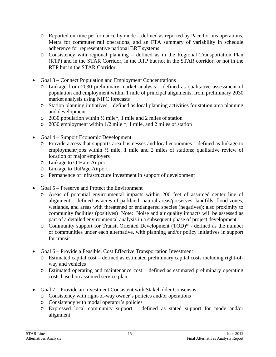- o Reported on-time performance by mode defined as reported by Pace for bus operations, Metra for commuter rail operations, and an FTA summary of variability in schedule adherence for representative national BRT systems
- o Consistency with regional planning defined as in the Regional Transportation Plan (RTP) and in the STAR Corridor, in the RTP but not in the STAR corridor, or not in the RTP but in the STAR Corridor
- Goal 3 Connect Population and Employment Concentrations
	- o Linkage from 2030 preliminary market analysis defined as qualitative assessment of population and employment within 1 mile of principal alignments, from preliminary 2030 market analysis using NIPC forecasts
	- o Station planning initiatives defined as local planning activities for station area planning and development
	- $\degree$  2030 population within  $\frac{1}{2}$  miles and 2 miles of station
	- o 2030 employment within 1/2 mile \*, 1 mile, and 2 miles of station
- Goal 4 Support Economic Development
	- o Provide access that supports area businesses and local economies defined as linkage to employment/jobs within ½ mile, 1 mile and 2 miles of stations; qualitative review of location of major employers
	- o Linkage to O'Hare Airport
	- o Linkage to DuPage Airport
	- o Permanence of infrastructure investment in support of development
- Goal 5 Preserve and Protect the Environment
	- o Areas of potential environmental impacts within 200 feet of assumed center line of alignment – defined as acres of parkland, natural areas/preserves, landfills, flood zones, wetlands, and areas with threatened or endangered species (negatives); also proximity to community facilities (positives) Note: Noise and air quality impacts will be assessed as part of a detailed environmental analysis in a subsequent phase of project development.
	- o Community support for Transit Oriented Development (TOD)\* defined as the number of communities under each alternative, with planning and/or policy initiatives in support for transit
- Goal 6 Provide a Feasible, Cost Effective Transportation Investment
	- o Estimated capital cost defined as estimated preliminary capital costs including right-ofway and vehicles
	- o Estimated operating and maintenance cost defined as estimated preliminary operating costs based on assumed service plan
- Goal 7 Provide an Investment Consistent with Stakeholder Consensus
	- o Consistency with right-of-way owner's policies and/or operations
	- o Consistency with modal operator's policies
	- o Expressed local community support defined as stated support for mode and/or alignment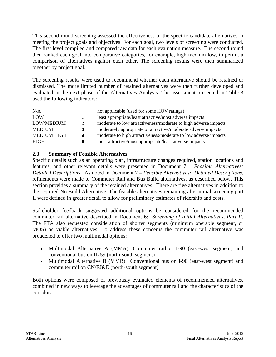This second round screening assessed the effectiveness of the specific candidate alternatives in meeting the project goals and objectives. For each goal, two levels of screening were conducted. The first level compiled and compared raw data for each evaluation measure. The second round then ranked each goal into comparative categories, for example, high-medium-low, to permit a comparison of alternatives against each other. The screening results were then summarized together by project goal.

The screening results were used to recommend whether each alternative should be retained or dismissed. The more limited number of retained alternatives were then further developed and evaluated in the next phase of the Alternatives Analysis. The assessment presented in Table 3 used the following indicators:

| N/A                |           | not applicable (used for some HOV ratings)                      |
|--------------------|-----------|-----------------------------------------------------------------|
| LOW                | $\circ$   | least appropriate/least attractive/most adverse impacts         |
| LOW/MEDIUM         | $\bullet$ | moderate to low attractiveness/moderate to high adverse impacts |
| <b>MEDIUM</b>      | $\bullet$ | moderately appropriate or attractive/moderate adverse impacts   |
| <b>MEDIUM HIGH</b> | $\bullet$ | moderate to high attractiveness/moderate to low adverse impacts |
| HIGH               |           | most attractive/most appropriate/least adverse impacts          |

#### **2.3 Summary of Feasible Alternatives**

Specific details such as an operating plan, infrastructure changes required, station locations and features, and other relevant details were presented in Document 7 *– Feasible Alternatives: Detailed Descriptions*. As noted in Document 7 *– Feasible Alternatives: Detailed Descriptions*, refinements were made to Commuter Rail and Bus Build alternatives, as described below. This section provides a summary of the retained alternatives. There are five alternatives in addition to the required No Build Alternative. The feasible alternatives remaining after initial screening part II were defined in greater detail to allow for preliminary estimates of ridership and costs.

Stakeholder feedback suggested additional options be considered for the recommended commuter rail alternative described in Document 6: *Screening of Initial Alternatives, Part II*. The FTA also requested consideration of shorter segments (minimum operable segment, or MOS) as viable alternatives. To address these concerns, the commuter rail alternative was broadened to offer two multimodal options:

- Multimodal Alternative A (MMA): Commuter rail on I-90 (east-west segment) and conventional bus on IL 59 (north-south segment)
- Multimodal Alternative B (MMB): Conventional bus on I-90 (east-west segment) and commuter rail on CN/EJ&E (north-south segment)

Both options were composed of previously evaluated elements of recommended alternatives, combined in new ways to leverage the advantages of commuter rail and the characteristics of the corridor.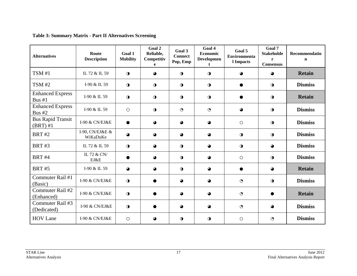| <b>Alternatives</b>                      | Route<br><b>Description</b> | Goal 1<br><b>Mobility</b> | Goal 2<br>Reliable,<br>Competitiv<br>e | Goal 3<br><b>Connect</b><br>Pop, Emp | Goal 4<br>Economic<br><b>Developmen</b><br>t | Goal 5<br><b>Environmenta</b><br>l Impacts | Goal 7<br><b>Stakeholde</b><br>r<br><b>Consensus</b> | Recommendatio<br>$\mathbf n$ |
|------------------------------------------|-----------------------------|---------------------------|----------------------------------------|--------------------------------------|----------------------------------------------|--------------------------------------------|------------------------------------------------------|------------------------------|
| TSM #1                                   | IL 72 & IL 59               | $\mathbf 0$               | $\bullet$                              | $\mathbf 0$                          | $\mathbf 0$                                  | $\bullet$                                  | $\bullet$                                            | <b>Retain</b>                |
| TSM #2                                   | I-90 & IL 59                | $\mathbf 0$               | $\bullet$                              | $\mathbf 0$                          | $\mathbf 0$                                  | $\bullet$                                  | $\mathbf 0$                                          | <b>Dismiss</b>               |
| <b>Enhanced Express</b><br>Bus $#1$      | I-90 & IL 59                | $\mathbf 0$               | $\bigcirc$                             | $\mathbf 0$                          | $\mathbf 0$                                  |                                            | $\mathbf 0$                                          | <b>Retain</b>                |
| <b>Enhanced Express</b><br><b>Bus #2</b> | I-90 & IL 59                | $\circ$                   | $\mathbf 0$                            | $\odot$                              | $\odot$                                      | ◕                                          | $\mathbf 0$                                          | <b>Dismiss</b>               |
| <b>Bus Rapid Transit</b><br>$(BRT)$ #1   | I-90 & CN/EJ&E              | ●                         | $\bullet$                              | $\bullet$                            | $\bullet$                                    | $\circ$                                    | $\mathbf 0$                                          | <b>Dismiss</b>               |
| <b>BRT#2</b>                             | I-90, CN/EJ&E &<br>WiKaDuKe | $\bullet$                 | $\bullet$                              | $\bullet$                            | $\bullet$                                    | $\bigcirc$                                 | $\mathbf 0$                                          | <b>Dismiss</b>               |
| <b>BRT#3</b>                             | IL 72 & IL 59               | $\mathbf 0$               | $\bullet$                              | $\mathbf 0$                          | $\bullet$                                    | $\bigcirc$                                 | $\bullet$                                            | <b>Dismiss</b>               |
| <b>BRT #4</b>                            | IL 72 & CN/<br>EJ&E         |                           | $\bullet$                              | $\mathbf 0$                          | $\bullet$                                    | $\circ$                                    | $\mathbf 0$                                          | <b>Dismiss</b>               |
| <b>BRT #5</b>                            | I-90 & IL 59                | $\bullet$                 | $\bullet$                              | $\mathbf 0$                          | $\bullet$                                    | $\bullet$                                  | $\bullet$                                            | <b>Retain</b>                |
| Commuter Rail #1<br>(Basic)              | I-90 & CN/EJ&E              | $\mathbf 0$               |                                        | $\bullet$                            | $\bullet$                                    | $\odot$                                    | $\mathbf 0$                                          | <b>Dismiss</b>               |
| Commuter Rail #2<br>(Enhanced)           | I-90 & CN/EJ&E              | $\mathbf 0$               |                                        | $\bullet$                            | $\bullet$                                    | $\odot$                                    |                                                      | <b>Retain</b>                |
| Commuter Rail #3<br>(Dedicated)          | I-90 & CN/EJ&E              | $\mathbf 0$               |                                        | $\bullet$                            | $\bullet$                                    | $\odot$                                    | $\bullet$                                            | <b>Dismiss</b>               |
| <b>HOV Lane</b>                          | I-90 & CN/EJ&E              | $\bigcirc$                | ◕                                      | $\mathbf 0$                          | $\mathbf 0$                                  | $\circ$                                    | $\ddot{\mathbf{C}}$                                  | <b>Dismiss</b>               |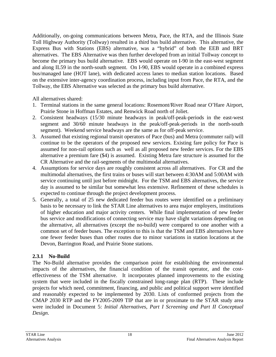Additionally, on-going communications between Metra, Pace, the RTA, and the Illinois State Toll Highway Authority (Tollway) resulted in a third bus build alternative. This alternative, the Express Bus with Stations (EBS) alternative, was a "hybrid" of both the EEB and BRT alternatives. The EBS Alternative was then further developed from an initial Tollway concept to become the primary bus build alternative. EBS would operate on I-90 in the east-west segment and along IL59 in the north-south segment. On I-90, EBS would operate in a combined express bus/managed lane (HOT lane), with dedicated access lanes to median station locations. Based on the extensive inter-agency coordination process, including input from Pace, the RTA, and the Tollway, the EBS Alternative was selected as the primary bus build alternative.

All alternatives shared:

- 1. Terminal stations in the same general locations: Rosemont/River Road near O'Hare Airport, Prairie Stone in Hoffman Estates, and Renwick Road north of Joliet.
- 2. Consistent headways (15/30 minute headways in peak/off-peak-periods in the east-west segment and 30/60 minute headways in the peak/off-peak-periods in the north-south segment). Weekend service headways are the same as for off-peak service.
- 3. Assumed that existing regional transit operators of Pace (bus) and Metra (commuter rail) will continue to be the operators of the proposed new services. Existing fare policy for Pace is assumed for non-rail options such as well as all proposed new feeder services. For the EBS alternative a premium fare (\$4) is assumed. Existing Metra fare structure is assumed for the CR Alternative and the rail-segments of the multimodal alternatives.
- 4. Assumptions for service days are roughly consistent across all alternatives. For CR and the multimodal alternatives, the first trains or buses will start between 4:30AM and 5:00AM with service continuing until just before midnight. For the TSM and EBS alternatives, the service day is assumed to be similar but somewhat less extensive. Refinement of these schedules is expected to continue through the project development process.
- 5. Generally, a total of 25 new dedicated feeder bus routes were identified on a preliminary basis to be necessary to link the STAR Line alternatives to area major employers, institutions of higher education and major activity centers. While final implementation of new feeder bus service and modifications of connecting service may have slight variations depending on the alternative, all alternatives (except the no-build) were compared to one another with a common set of feeder buses. The exception to this is that the TSM and EBS alternatives have one fewer feeder buses than other routes due to minor variations in station locations at the Devon, Barrington Road, and Prairie Stone stations.

# **2.3.1 No-Build**

The No-Build alternative provides the comparison point for establishing the environmental impacts of the alternatives, the financial condition of the transit operator, and the costeffectiveness of the TSM alternative. It incorporates planned improvements to the existing system that were included in the fiscally constrained long-range plan (RTP). These include projects for which need, commitment, financing, and public and political support were identified and reasonably expected to be implemented by 2030. Lists of conformed projects from the CMAP 2030 RTP and the FY2005-2009 TIP that are in or proximate to the STAR study area were included in Document 5: *Initial Alternatives, Part I Screening and Part II Conceptual Design*.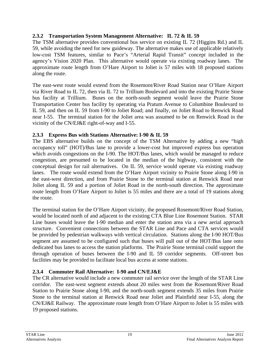#### **2.3.2 Transportation System Management Alternative: IL 72 & IL 59**

The TSM alternative provides conventional bus service on existing IL 72 (Higgins Rd.) and IL 59, while avoiding the need for new guideway. The alternative makes use of applicable relatively low-cost TSM features, similar to Pace's "Arterial Rapid Transit" concept included in the agency's Vision 2020 Plan. This alternative would operate via existing roadway lanes. The approximate route length from O'Hare Airport to Joliet is 57 miles with 18 proposed stations along the route.

The east-west route would extend from the Rosemont/River Road Station near O'Hare Airport via River Road to IL 72, then via IL 72 to Trillium Boulevard and into the existing Prairie Stone bus facility at Trillium. Buses on the north-south segment would leave the Prairie Stone Transportation Center bus facility by operating via Pratum Avenue to Columbine Boulevard to IL 59, and then on IL 59 from I-90 to Joliet Road; and finally, on Joliet Road to Renwick Road near I-55. The terminal station for the Joliet area was assumed to be on Renwick Road in the vicinity of the CN/EJ&E right-of-way and I-55.

#### **2.3.3 Express Bus with Stations Alternative: I-90 & IL 59**

The EBS alternative builds on the concept of the TSM Alternative by adding a new "high occupancy toll" (HOT)/Bus lane to provide a lower-cost but improved express bus operation which avoids congestions on the I-90. The HOT/Bus lanes, which would be managed to reduce congestion, are presumed to be located in the median of the highway, consistent with the conceptual design for rail alternatives. On IL 59, service would operate via existing roadway lanes. The route would extend from the O'Hare Airport vicinity to Prairie Stone along I-90 in the east-west direction, and from Prairie Stone to the terminal station at Renwick Road near Joliet along IL 59 and a portion of Joliet Road in the north-south direction. The approximate route length from O'Hare Airport to Joliet is 55 miles and there are a total of 19 stations along the route.

The terminal station for the O'Hare Airport vicinity, the proposed Rosemont/River Road Station, would be located north of and adjacent to the existing CTA Blue Line Rosemont Station. STAR Line buses would leave the I-90 median and enter the station area via a new aerial approach structure. Convenient connections between the STAR Line and Pace and CTA services would be provided by pedestrian walkways with vertical circulation. Stations along the I-90 HOT/Bus segment are assumed to be configured such that buses will pull out of the HOT/Bus lane onto dedicated bus lanes to access the station platforms. The Prairie Stone terminal could support the through operation of buses between the I-90 and IL 59 corridor segments. Off-street bus facilities may be provided to facilitate local bus access at some stations.

# **2.3.4 Commuter Rail Alternative: I-90 and CN/EJ&E**

The CR alternative would include a new commuter rail service over the length of the STAR Line corridor. The east-west segment extends about 20 miles west from the Rosemont/River Road Station to Prairie Stone along I-90, and the north-south segment extends 35 miles from Prairie Stone to the terminal station at Renwick Road near Joliet and Plainfield near I-55, along the CN/EJ&E Railway. The approximate route length from O'Hare Airport to Joliet is 55 miles with 19 proposed stations.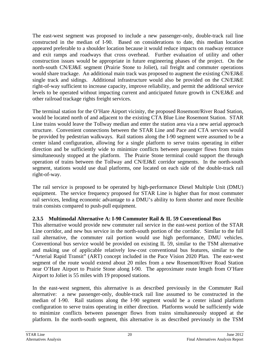The east-west segment was proposed to include a new passenger-only, double-track rail line constructed in the median of I-90. Based on considerations to date, this median location appeared preferable to a shoulder location because it would reduce impacts on roadway entrance and exit ramps and roadways that cross overhead. Further evaluation of utility and other construction issues would be appropriate in future engineering phases of the project. On the north-south CN/EJ&E segment (Prairie Stone to Joliet), rail freight and commuter operations would share trackage. An additional main track was proposed to augment the existing CN/EJ&E single track and sidings. Additional infrastructure would also be provided on the CN/EJ&E right-of-way sufficient to increase capacity, improve reliability, and permit the additional service levels to be operated without impacting current and anticipated future growth in CN/EJ&E and other railroad trackage rights freight services.

The terminal station for the O'Hare Airport vicinity, the proposed Rosemont/River Road Station, would be located north of and adjacent to the existing CTA Blue Line Rosemont Station. STAR Line trains would leave the Tollway median and enter the station area via a new aerial approach structure. Convenient connections between the STAR Line and Pace and CTA services would be provided by pedestrian walkways. Rail stations along the I-90 segment were assumed to be a center island configuration, allowing for a single platform to serve trains operating in either direction and be sufficiently wide to minimize conflicts between passenger flows from trains simultaneously stopped at the platform. The Prairie Stone terminal could support the through operation of trains between the Tollway and CN/EJ&E corridor segments. In the north-south segment, stations would use dual platforms, one located on each side of the double-track rail right-of-way.

The rail service is proposed to be operated by high-performance Diesel Multiple Unit (DMU) equipment. The service frequency proposed for STAR Line is higher than for most commuter rail services, lending economic advantage to a DMU's ability to form shorter and more flexible train consists compared to push-pull equipment.

# **2.3.5 Multimodal Alternative A: I-90 Commuter Rail & IL 59 Conventional Bus**

This alternative would provide new commuter rail service in the east-west portion of the STAR Line corridor, and new bus service in the north-south portion of the corridor. Similar to the full rail alternative, the commuter rail portion would use high performance, DMU vehicles. Conventional bus service would be provided on existing IL 59, similar to the TSM alternative and making use of applicable relatively low-cost conventional bus features, similar to the "Arterial Rapid Transit" (ART) concept included in the Pace Vision 2020 Plan. The east-west segment of the route would extend about 20 miles from a new Rosemont/River Road Station near O'Hare Airport to Prairie Stone along I-90. The approximate route length from O'Hare Airport to Joliet is 55 miles with 19 proposed stations.

In the east-west segment, this alternative is as described previously in the Commuter Rail alternative: a new passenger-only, double-track rail line assumed to be constructed in the median of I-90. Rail stations along the I-90 segment would be a center island platform configuration to serve trains operating in either direction. Platforms would be sufficiently wide to minimize conflicts between passenger flows from trains simultaneously stopped at the platform. In the north-south segment, this alternative is as described previously in the TSM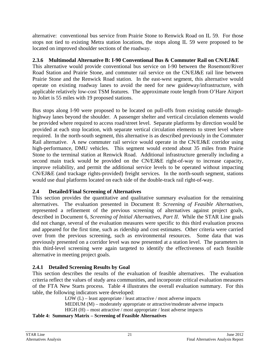alternative: conventional bus service from Prairie Stone to Renwick Road on IL 59. For those stops not tied to existing Metra station locations, the stops along IL 59 were proposed to be located on improved shoulder sections of the roadway.

# **2.3.6 Multimodal Alternative B: I-90 Conventional Bus & Commuter Rail on CN/EJ&E**

This alternative would provide conventional bus service on I-90 between the Rosemont/River Road Station and Prairie Stone, and commuter rail service on the CN/EJ&E rail line between Prairie Stone and the Renwick Road station. In the east-west segment, this alternative would operate on existing roadway lanes to avoid the need for new guideway/infrastructure, with applicable relatively low-cost TSM features. The approximate route length from O'Hare Airport to Joliet is 55 miles with 19 proposed stations.

Bus stops along I-90 were proposed to be located on pull-offs from existing outside throughhighway lanes beyond the shoulder. A passenger shelter and vertical circulation elements would be provided where required to access road/street level. Separate platforms by direction would be provided at each stop location, with separate vertical circulation elements to street level where required. In the north-south segment, this alternative is as described previously in the Commuter Rail alternative. A new commuter rail service would operate in the CN/EJ&E corridor using high-performance, DMU vehicles. This segment would extend about 35 miles from Prairie Stone to the terminal station at Renwick Road. Additional infrastructure generally including a second main track would be provided on the CN/EJ&E right-of-way to increase capacity, improve reliability, and permit the additional service levels to be operated without impacting CN/EJ&E (and trackage rights-provided) freight services. In the north-south segment, stations would use dual platforms located on each side of the double-track rail right-of-way.

# **2.4 Detailed/Final Screening of Alternatives**

This section provides the quantitative and qualitative summary evaluation for the remaining alternatives. The evaluation presented in Document 8: *Screening of Feasible Alternatives*, represented a refinement of the previous screening of alternatives against project goals, described in Document 6, *Screening of Initial Alternatives, Part II*. While the STAR Line goals did not change, several of the evaluation measures were specific to this third evaluation process and appeared for the first time, such as ridership and cost estimates. Other criteria were carried over from the previous screening, such as environmental resources. Some data that was previously presented on a corridor level was now presented at a station level. The parameters in this third-level screening were again targeted to identify the effectiveness of each feasible alternative in meeting project goals.

# **2.4.1 Detailed Screening Results by Goal**

This section describes the results of the evaluation of feasible alternatives. The evaluation criteria reflect the values of study area communities, and incorporate critical evaluation measures of the FTA New Starts process. Table 4 illustrates the overall evaluation summary. For this table, the following indicators were developed:

LOW  $(L)$  – least appropriate / least attractive / most adverse impacts MEDIUM (M) – moderately appropriate or attractive/moderate adverse impacts HIGH (H) – most attractive / most appropriate / least adverse impacts

**Table 4: Summary Matrix – Screening of Feasible Alternatives**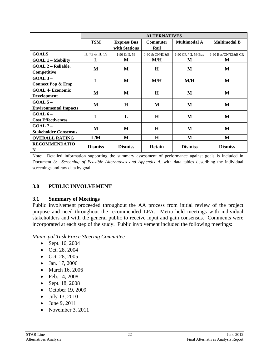|                              | <b>ALTERNATIVES</b> |                    |                 |                     |                     |  |  |  |
|------------------------------|---------------------|--------------------|-----------------|---------------------|---------------------|--|--|--|
|                              | <b>TSM</b>          | <b>Express Bus</b> | <b>Commuter</b> | <b>Multimodal A</b> | <b>Multimodal B</b> |  |  |  |
|                              |                     | with Stations      | Rail            |                     |                     |  |  |  |
| <b>GOALS</b>                 | IL 72 & IL 59       | I-90 & IL 59       | I-90 & CN/EJ&E  | I-90 CR / IL 59 Bus | I-90 Bus/CN/EJ&E CR |  |  |  |
| <b>GOAL 1 - Mobility</b>     | L                   | M                  | M/H             | M                   | M                   |  |  |  |
| <b>GOAL 2 – Reliable,</b>    | M                   | M                  | H               | M                   | M                   |  |  |  |
| Competitive                  |                     |                    |                 |                     |                     |  |  |  |
| $GOAL3 -$                    | L                   | M                  | M/H             | M/H                 | M                   |  |  |  |
| <b>Connect Pop &amp; Emp</b> |                     |                    |                 |                     |                     |  |  |  |
| <b>GOAL 4- Economic</b>      | M                   | M                  | H               | M                   | M                   |  |  |  |
| <b>Development</b>           |                     |                    |                 |                     |                     |  |  |  |
| $GOAL 5 -$                   | M                   | $\bf H$            | M               | M                   | M                   |  |  |  |
| <b>Environmental Impacts</b> |                     |                    |                 |                     |                     |  |  |  |
| $GOAL 6 -$                   | L                   | L                  | H               | M                   | M                   |  |  |  |
| <b>Cost Effectiveness</b>    |                     |                    |                 |                     |                     |  |  |  |
| $GOAL 7 -$                   | M                   | M                  | H               | M                   | M                   |  |  |  |
| <b>Stakeholder Consensus</b> |                     |                    |                 |                     |                     |  |  |  |
| <b>OVERALL RATING</b>        | L/M                 | M                  | $\bf H$         | М                   | M                   |  |  |  |
| <b>RECOMMENDATIO</b><br>N    | <b>Dismiss</b>      | <b>Dismiss</b>     | <b>Retain</b>   | <b>Dismiss</b>      | <b>Dismiss</b>      |  |  |  |

Note: Detailed information supporting the summary assessment of performance against goals is included in Document 8: *Screening of Feasible Alternatives and Appendix A*, with data tables describing the individual screenings and raw data by goal.

#### **3.0 PUBLIC INVOLVEMENT**

#### **3.1 Summary of Meetings**

Public involvement proceeded throughout the AA process from initial review of the project purpose and need throughout the recommended LPA. Metra held meetings with individual stakeholders and with the general public to receive input and gain consensus. Comments were incorporated at each step of the study. Public involvement included the following meetings:

*Municipal Task Force Steering Committee* 

- Sept. 16, 2004
- Oct. 28, 2004
- Oct. 28, 2005
- Jan. 17, 2006
- March 16, 2006
- Feb. 14, 2008
- Sept. 18, 2008
- October 19, 2009
- July 13, 2010
- June 9, 2011
- November 3, 2011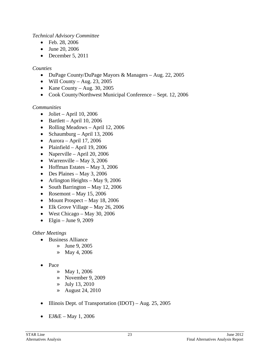#### *Technical Advisory Committee*

- Feb. 28, 2006
- June 20, 2006
- $\bullet$  December 5, 2011

#### *Counties*

- DuPage County/DuPage Mayors & Managers Aug. 22, 2005
- Will County Aug. 23, 2005
- Kane County Aug. 30, 2005
- Cook County/Northwest Municipal Conference Sept. 12, 2006

#### *Communities*

- $\bullet$  Joliet April 10, 2006
- $\bullet$  Bartlett April 10, 2006
- Rolling Meadows April 12, 2006
- Schaumburg April 13, 2006
- $\bullet$  Aurora April 17, 2006
- Plainfield April 19, 2006
- Naperville April 20, 2006
- Warrenville May 3, 2006
- $\bullet$  Hoffman Estates May 3, 2006
- $\bullet$  Des Plaines May 3, 2006
- Arlington Heights May 9, 2006
- South Barrington May 12, 2006
- Rosemont May 15, 2006
- Mount Prospect May 18, 2006
- Elk Grove Village May 26, 2006
- $\bullet$  West Chicago May 30, 2006
- $\bullet$  Elgin June 9, 2009

#### *Other Meetings*

- Business Alliance
	- » June 9, 2005
	- » May 4, 2006
- Pace
	- » May 1, 2006
	- » November 9, 2009
	- » July 13, 2010
	- » August 24, 2010
- Illinois Dept. of Transportation (IDOT) Aug. 25, 2005
- EJ&E May 1, 2006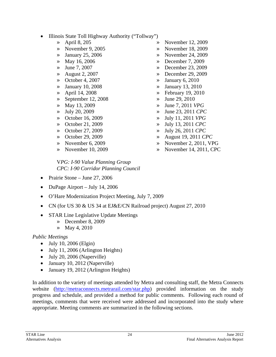- Illinois State Toll Highway Authority ("Tollway")
	- » April 8, 205
	- » November 9, 2005
	- » January 25, 2006
	- » May 16, 2006
	- » June 7, 2007
	- » August 2, 2007
	- » October 4, 2007
	- » January 10, 2008
	- » April 14, 2008
	- » September 12, 2008
	- » May 13, 2009
	- » July 20, 2009
	- » October 16, 2009
	- » October 21, 2009
	- » October 27, 2009
	- » October 29, 2009
	- » November 6, 2009
	- » November 10, 2009
- » November 12, 2009
- » November 18, 2009
- » November 24, 2009
- » December 7, 2009
- » December 23, 2009
- » December 29, 2009
- » January 6, 2010
- » January 13, 2010
- » February 19, 2010
- » June 29, 2010
- » June 7, 2011 *VPG*
- » June 23, 2011 *CPC*
- » July 11, 2011 *VPG*
- » July 13, 2011 *CPC*
- » July 26, 2011 *CPC*
- » August 19, 2011 *CPC*
- » November 2, 2011, VPG
- » November 14, 2011, CPC

#### V*PG: I-90 Value Planning Group CPC: I-90 Corridor Planning Council*

- Prairie Stone June 27, 2006
- DuPage Airport July 14, 2006
- O'Hare Modernization Project Meeting, July 7, 2009
- CN (for US 30 & US 34 at EJ&E/CN Railroad project) August 27, 2010
- STAR Line Legislative Update Meetings
	- » December 8, 2009
	- » May 4, 2010

# *Public Meetings*

- $\bullet$  July 10, 2006 (Elgin)
- July 11, 2006 (Arlington Heights)
- July 20, 2006 (Naperville)
- January 10, 2012 (Naperville)
- January 19, 2012 (Arlington Heights)

In addition to the variety of meetings attended by Metra and consulting staff, the Metra Connects website (http://metraconnects.metrarail.com/star.php) provided information on the study progress and schedule, and provided a method for public comments. Following each round of meetings, comments that were received were addressed and incorporated into the study where appropriate. Meeting comments are summarized in the following sections.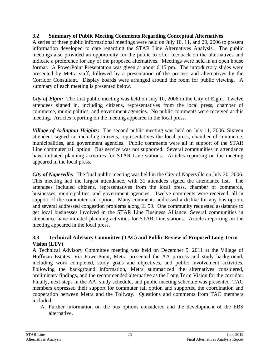#### **3.2 Summary of Public Meeting Comments Regarding Conceptual Alternatives**

A series of three public informational meetings were held on July 10, 11, and 20, 2006 to present information developed to date regarding the STAR Line Alternatives Analysis. The public meetings also provided an opportunity for the public to offer feedback on the alternatives and indicate a preference for any of the proposed alternatives. Meetings were held in an open house format. A PowerPoint Presentation was given at about 6:15 pm. The introductory slides were presented by Metra staff, followed by a presentation of the process and alternatives by the Corridor Consultant. Display boards were arranged around the room for public viewing. A summary of each meeting is presented below.

*City of Elgin:* The first public meeting was held on July 10, 2006 in the City of Elgin. Twelve attendees signed in, including citizens, representatives from the local press, chamber of commerce, municipalities, and government agencies. No public comments were received at this meeting. Articles reporting on the meeting appeared in the local press.

*Village of Arlington Heights:* The second public meeting was held on July 11, 2006. Sixteen attendees signed in, including citizens, representatives the local press, chamber of commerce, municipalities, and government agencies. Public comments were all in support of the STAR Line commuter rail option. Bus service was not supported. Several communities in attendance have initiated planning activities for STAR Line stations. Articles reporting on the meeting appeared in the local press.

*City of Naperville:* The final public meeting was held in the City of Naperville on July 20, 2006. This meeting had the largest attendance, with 31 attendees signed the attendance list. The attendees included citizens, representatives from the local press, chamber of commerce, businesses, municipalities, and government agencies. Twelve comments were received, all in support of the commuter rail option. Many comments addressed a dislike for any bus option, and several addressed congestion problems along IL 59. One community requested assistance to get local businesses involved in the STAR Line Business Alliance. Several communities in attendance have initiated planning activities for STAR Line stations. Articles reporting on the meeting appeared in the local press.

#### **3.3 Technical Advisory Committee (TAC) and Public Review of Proposed Long Term Vision (LTV)**

A Technical Advisory Committee meeting was held on December 5, 2011 at the Village of Hoffman Estates. Via PowerPoint, Metra presented the AA process and study background, including work completed, study goals and objectives, and public involvement activities. Following the background information, Metra summarized the alternatives considered, preliminary findings, and the recommended alternative as the Long Term Vision for the corridor. Finally, next steps in the AA, study schedule, and public meeting schedule was presented. TAC members expressed their support for commuter rail option and supported the coordination and cooperation between Metra and the Tollway. Questions and comments from TAC members included:

A. Further information on the bus options considered and the development of the EBS alternative.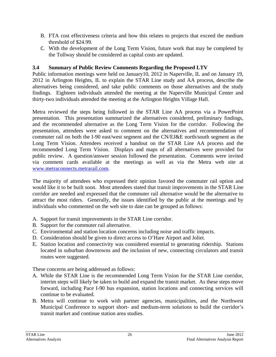- B. FTA cost effectiveness criteria and how this relates to projects that exceed the medium threshold of \$24.99.
- C. With the development of the Long Term Vision, future work that may be completed by the Tollway should be considered as capital costs are updated.

#### **3.4 Summary of Public Review Comments Regarding the Proposed LTV**

Public information meetings were held on January10, 2012 in Naperville, IL and on January 19, 2012 in Arlington Heights, IL to explain the STAR Line study and AA process, describe the alternatives being considered, and take public comments on those alternatives and the study findings. Eighteen individuals attended the meeting at the Naperville Municipal Center and thirty-two individuals attended the meeting at the Arlington Heights Village Hall.

Metra reviewed the steps being followed in the STAR Line AA process via a PowerPoint presentation. This presentation summarized the alternatives considered, preliminary findings, and the recommended alternative as the Long Term Vision for the corridor. Following the presentation, attendees were asked to comment on the alternatives and recommendation of commuter rail on both the I-90 east/west segment and the CN/EJ&E north/south segment as the Long Term Vision. Attendees received a handout on the STAR Line AA process and the recommended Long Term Vision. Displays and maps of all alternatives were provided for public review. A question/answer session followed the presentation. Comments were invited via comment cards available at the meetings as well as via the Metra web site at www.metraconnects.metrarail.com.

The majority of attendees who expressed their opinion favored the commuter rail option and would like it to be built soon. Most attendees stated that transit improvements in the STAR Line corridor are needed and expressed that the commuter rail alternative would be the alternative to attract the most riders. Generally, the issues identified by the public at the meetings and by individuals who commented on the web site to date can be grouped as follows:

- A. Support for transit improvements in the STAR Line corridor.
- B. Support for the commuter rail alternative.
- C. Environmental and station location concerns including noise and traffic impacts.
- D. Consideration should be given to direct access to O'Hare Airport and Joliet.
- E. Station location and connectivity was considered essential to generating ridership. Stations located in suburban downtowns and the inclusion of new, connecting circulators and transit routes were suggested.

These concerns are being addressed as follows:

- A. While the STAR Line is the recommended Long Term Vision for the STAR Line corridor, interim steps will likely be taken to build and expand the transit market. As these steps move forward, including Pace I-90 bus expansion, station locations and connecting services will continue to be evaluated.
- B. Metra will continue to work with partner agencies, municipalities, and the Northwest Municipal Conference to support short- and medium-term solutions to build the corridor's transit market and continue station area studies.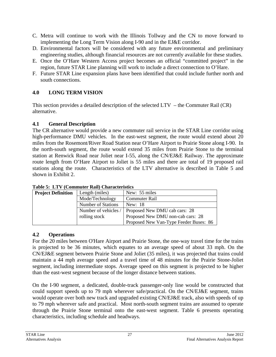- C. Metra will continue to work with the Illinois Tollway and the CN to move forward to implementing the Long Term Vision along I-90 and in the EJ&E corridor.
- D. Environmental factors will be considered with any future environmental and preliminary engineering studies, although financial resources are not currently available for these studies.
- E. Once the O'Hare Western Access project becomes an official "committed project" in the region, future STAR Line planning will work to include a direct connection to O'Hare.
- F. Future STAR Line expansion plans have been identified that could include further north and south connections.

# **4.0 LONG TERM VISION**

This section provides a detailed description of the selected LTV – the Commuter Rail (CR) alternative.

# **4.1 General Description**

The CR alternative would provide a new commuter rail service in the STAR Line corridor using high-performance DMU vehicles. In the east-west segment, the route would extend about 20 miles from the Rosemont/River Road Station near O'Hare Airport to Prairie Stone along I-90. In the north-south segment, the route would extend 35 miles from Prairie Stone to the terminal station at Renwick Road near Joliet near I-55, along the CN/EJ&E Railway. The approximate route length from O'Hare Airport to Joliet is 55 miles and there are total of 19 proposed rail stations along the route. Characteristics of the LTV alternative is described in Table 5 and shown in Exhibit 2.

| <b>Project Definition</b> | Length (miles)            | New: 55 miles                          |
|---------------------------|---------------------------|----------------------------------------|
|                           | Mode/Technology           | Commuter Rail                          |
|                           | <b>Number of Stations</b> | New: 18                                |
|                           | Number of vehicles /      | Proposed New DMU cab cars: 28          |
|                           | rolling stock             | Proposed New DMU non-cab cars: 28      |
|                           |                           | Proposed New Van-Type Feeder Buses: 86 |

# **Table 5: LTV (Commuter Rail) Characteristics**

# **4.2 Operations**

For the 20 miles between O'Hare Airport and Prairie Stone, the one-way travel time for the trains is projected to be 36 minutes, which equates to an average speed of about 33 mph. On the CN/EJ&E segment between Prairie Stone and Joliet (35 miles), it was projected that trains could maintain a 44 mph average speed and a travel time of 48 minutes for the Prairie Stone-Joliet segment, including intermediate stops. Average speed on this segment is projected to be higher than the east-west segment because of the longer distance between stations.

On the I-90 segment, a dedicated, double-track passenger-only line would be constructed that could support speeds up to 79 mph wherever safe/practical. On the CN/EJ&E segment, trains would operate over both new track and upgraded existing CN/EJ&E track, also with speeds of up to 79 mph wherever safe and practical. Most north-south segment trains are assumed to operate through the Prairie Stone terminal onto the east-west segment. Table 6 presents operating characteristics, including schedule and headways.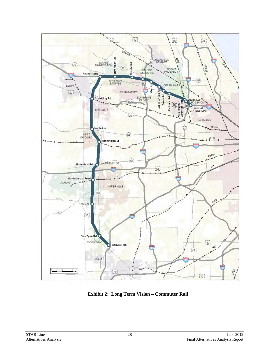

**Exhibit 2: Long Term Vision – Commuter Rail**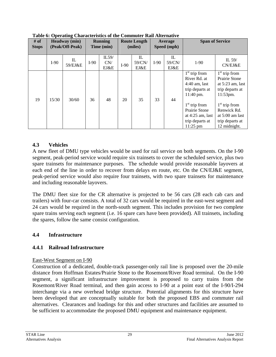| # of<br><b>Stops</b> |        | <b>Headway</b> (min)<br>(Peak/Off-Peak) |        | <b>Running</b><br>Time (min) |        | <b>Route Length</b><br>(miles) |        | Average<br>Speed (mph)         |                                                                                                                                                                               | <b>Span of Service</b>                                                                                                                                                          |
|----------------------|--------|-----------------------------------------|--------|------------------------------|--------|--------------------------------|--------|--------------------------------|-------------------------------------------------------------------------------------------------------------------------------------------------------------------------------|---------------------------------------------------------------------------------------------------------------------------------------------------------------------------------|
|                      | $I-90$ | $\mathbf{L}$<br>59/EJ&E                 | $I-90$ | IL59/<br>CN/<br>EJ&E         | $I-90$ | IL<br>59/CN/<br>EJ&E           | $I-90$ | $\mathbf{L}$<br>59/CN/<br>EJ&E | $1-90$                                                                                                                                                                        | IL $59/$<br>CN/EI&E                                                                                                                                                             |
| 19                   | 15/30  | 30/60                                   | 36     | 48                           | 20     | 35                             | 33     | 44                             | $1st$ trip from<br>River Rd. at<br>$4:40$ am, last<br>trip departs at<br>11:40 pm.<br>$1st$ trip from<br>Prairie Stone<br>at $4:25$ am, last<br>trip departs at<br>$11:25$ pm | $1st$ trip from<br>Prairie Stone<br>at $5:23$ am, last<br>trip departs at<br>11:53pm.<br>$1st$ trip from<br>Renwick Rd.<br>at $5:00$ am last<br>trip departs at<br>12 midnight. |

**Table 6: Operating Characteristics of the Commuter Rail Alternative** 

#### **4.3 Vehicles**

A new fleet of DMU type vehicles would be used for rail service on both segments. On the I-90 segment, peak-period service would require six trainsets to cover the scheduled service, plus two spare trainsets for maintenance purposes. The schedule would provide reasonable layovers at each end of the line in order to recover from delays en route, etc. On the CN/EJ&E segment, peak-period service would also require four trainsets, with two spare trainsets for maintenance and including reasonable layovers.

The DMU fleet size for the CR alternative is projected to be 56 cars (28 each cab cars and trailers) with four-car consists. A total of 32 cars would be required in the east-west segment and 24 cars would be required in the north-south segment. This includes provision for two complete spare trains serving each segment (i.e. 16 spare cars have been provided). All trainsets, including the spares, follow the same consist configuration.

#### **4.4 Infrastructure**

#### **4.4.1 Railroad Infrastructure**

#### East-West Segment on I-90

Construction of a dedicated, double-track passenger-only rail line is proposed over the 20-mile distance from Hoffman Estates/Prairie Stone to the Rosemont/River Road terminal. On the I-90 segment, a significant infrastructure improvement is proposed to carry trains from the Rosemont/River Road terminal, and then gain access to I-90 at a point east of the I-90/I-294 interchange via a new overhead bridge structure. Potential alignments for this structure have been developed that are conceptually suitable for both the proposed EBS and commuter rail alternatives. Clearances and loadings for this and other structures and facilities are assumed to be sufficient to accommodate the proposed DMU equipment and maintenance equipment.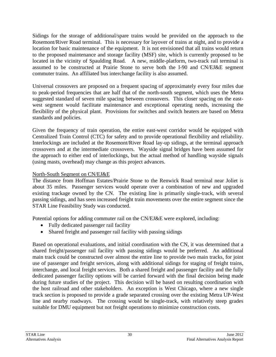Sidings for the storage of additional/spare trains would be provided on the approach to the Rosemont/River Road terminal. This is necessary for layover of trains at night, and to provide a location for basic maintenance of the equipment. It is not envisioned that all trains would return to the proposed maintenance and storage facility (MSF) site, which is currently proposed to be located in the vicinity of Spaulding Road. A new, middle-platform, two-track rail terminal is assumed to be constructed at Prairie Stone to serve both the I-90 and CN/EJ&E segment commuter trains. An affiliated bus interchange facility is also assumed.

Universal crossovers are proposed on a frequent spacing of approximately every four miles due to peak-period frequencies that are half that of the north-south segment, which uses the Metra suggested standard of seven mile spacing between crossovers. This closer spacing on the eastwest segment would facilitate maintenance and exceptional operating needs, increasing the flexibility of the physical plant. Provisions for switches and switch heaters are based on Metra standards and policies.

Given the frequency of train operation, the entire east-west corridor would be equipped with Centralized Train Control (CTC) for safety and to provide operational flexibility and reliability. Interlockings are included at the Rosemont/River Road lay-up sidings, at the terminal approach crossovers and at the intermediate crossovers. Wayside signal bridges have been assumed for the approach to either end of interlockings, but the actual method of handling wayside signals (using masts, overhead) may change as this project advances.

# North-South Segment on CN/EJ&E

The distance from Hoffman Estates/Prairie Stone to the Renwick Road terminal near Joliet is about 35 miles. Passenger services would operate over a combination of new and upgraded existing trackage owned by the CN. The existing line is primarily single-track, with several passing sidings, and has seen increased freight train movements over the entire segment since the STAR Line Feasibility Study was conducted.

Potential options for adding commuter rail on the CN/EJ&E were explored, including:

- Fully dedicated passenger rail facility
- Shared freight and passenger rail facility with passing sidings

Based on operational evaluations, and initial coordination with the CN, it was determined that a shared freight/passenger rail facility with passing sidings would be preferred. An additional main track could be constructed over almost the entire line to provide two main tracks, for joint use of passenger and freight services, along with additional sidings for staging of freight trains, interchange, and local freight services. Both a shared freight and passenger facility and the fully dedicated passenger facility options will be carried forward with the final decision being made during future studies of the project. This decision will be based on resulting coordination with the host railroad and other stakeholders. An exception is West Chicago, where a new single track section is proposed to provide a grade separated crossing over the existing Metra UP-West line and nearby roadways. The crossing would be single-track, with relatively steep grades suitable for DMU equipment but not freight operations to minimize construction costs.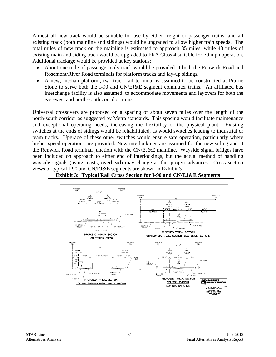Almost all new track would be suitable for use by either freight or passenger trains, and all existing track (both mainline and sidings) would be upgraded to allow higher train speeds. The total miles of new track on the mainline is estimated to approach 35 miles, while 43 miles of existing main and siding track would be upgraded to FRA Class 4 suitable for 79 mph operation. Additional trackage would be provided at key stations:

- About one mile of passenger-only track would be provided at both the Renwick Road and Rosemont/River Road terminals for platform tracks and lay-up sidings.
- A new, median platform, two-track rail terminal is assumed to be constructed at Prairie Stone to serve both the I-90 and CN/EJ&E segment commuter trains. An affiliated bus interchange facility is also assumed. to accommodate movements and layovers for both the east-west and north-south corridor trains.

Universal crossovers are proposed on a spacing of about seven miles over the length of the north-south corridor as suggested by Metra standards. This spacing would facilitate maintenance and exceptional operating needs, increasing the flexibility of the physical plant. Existing switches at the ends of sidings would be rehabilitated, as would switches leading to industrial or team tracks. Upgrade of these other switches would ensure safe operation, particularly where higher-speed operations are provided. New interlockings are assumed for the new siding and at the Renwick Road terminal junction with the CN/EJ&E mainline. Wayside signal bridges have been included on approach to either end of interlockings, but the actual method of handling wayside signals (using masts, overhead) may change as this project advances. Cross section views of typical I-90 and CN/EJ&E segments are shown in Exhibit 3.



**Exhibit 3: Typical Rail Cross Section for I-90 and CN/EJ&E Segments**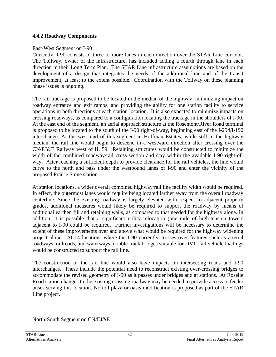#### **4.4.2 Roadway Components**

#### East-West Segment on I-90

Currently, I-90 consists of three or more lanes in each direction over the STAR Line corridor. The Tollway, owner of the infrastructure, has included adding a fourth through lane in each direction in their Long Term Plan. The STAR Line infrastructure assumptions are based on the development of a design that integrates the needs of the additional lane and of the transit improvement, at least to the extent possible. Coordination with the Tollway on these planning phase issues is ongoing.

The rail trackage is proposed to be located in the median of the highway, minimizing impact on roadway entrance and exit ramps, and providing the ability for one station facility to service operations in both directions at each station location. It is also expected to minimize impacts on crossing roadways, as compared to a configuration locating the trackage in the shoulders of I-90. At the east end of the segment, an aerial approach structure at the Rosemont/River Road terminal is proposed to be located to the south of the I-90 right-of-way, beginning east of the I-294/I-190 interchange. At the west end of this segment in Hoffman Estates, while still in the highway median, the rail line would begin to descend in a westward direction after crossing over the CN/EJ&E Railway west of IL 59. Retaining structures would be constructed to minimize the width of the combined roadway/rail cross-section and stay within the available I-90 right-ofway. After reaching a sufficient depth to provide clearance for the rail vehicles, the line would curve to the north and pass under the westbound lanes of I-90 and enter the vicinity of the proposed Prairie Stone station.

At station locations, a wider overall combined highway/rail line facility width would be required. In effect, the outermost lanes would require being located farther away from the overall roadway centerline. Since the existing roadway is largely elevated with respect to adjacent property grades, additional measures would likely be required to support the roadway by means of additional earthen fill and retaining walls, as compared to that needed for the highway alone. In addition, it is possible that a significant utility relocation (one mile of high-tension towers adjacent to I-90 could be required. Further investigations will be necessary to determine the extent of these improvements over and above what would be required for the highway widening project alone. At 14 locations where the I-90 currently crosses over features such as arterial roadways, railroads, and waterways, double-track bridges suitable for DMU rail vehicle loadings would be constructed to support the rail line.

The construction of the rail line would also have impacts on intersecting roads and I-90 interchanges. These include the potential need to reconstruct existing over-crossing bridges to accommodate the revised geometry of I-90 as it passes under bridges and at stations. At Roselle Road station changes to the existing crossing roadway may be needed to provide access to feeder buses serving this location. No toll plaza or oasis modification is proposed as part of the STAR Line project.

North-South Segment on CN/EJ&E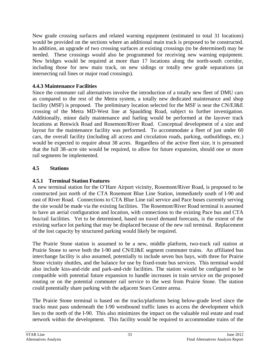New grade crossing surfaces and related warning equipment (estimated to total 31 locations) would be provided on the sections where an additional main track is proposed to be constructed. In addition, an upgrade of two crossing surfaces at existing crossings (to be determined) may be needed. These crossings would also be programmed for receiving new warning equipment. New bridges would be required at more than 17 locations along the north-south corridor, including those for new main track, on new sidings or totally new grade separations (at intersecting rail lines or major road crossings).

# **4.4.3 Maintenance Facilities**

Since the commuter rail alternatives involve the introduction of a totally new fleet of DMU cars as compared to the rest of the Metra system, a totally new dedicated maintenance and shop facility (MSF) is proposed. The preliminary location selected for the MSF is near the CN/EJ&E crossing of the Metra MD-West line at Spaulding Road, subject to further investigation. Additionally, minor daily maintenance and fueling would be performed at the layover track locations at Renwick Road and Rosemont/River Road. Conceptual development of a size and layout for the maintenance facility was performed. To accommodate a fleet of just under 60 cars, the overall facility (including all access and circulation roads, parking, outbuildings, etc.) would be expected to require about 38 acres. Regardless of the active fleet size, it is presumed that the full 38–acre site would be required, to allow for future expansion, should one or more rail segments be implemented.

#### **4.5 Stations**

# **4.5.1 Terminal Station Features**

A new terminal station for the O'Hare Airport vicinity, Rosemont/River Road, is proposed to be constructed just north of the CTA Rosemont Blue Line Station, immediately south of I-90 and east of River Road. Connections to CTA Blue Line rail service and Pace buses currently serving the site would be made via the existing facilities. The Rosemont/River Road terminal is assumed to have an aerial configuration and location, with connections to the existing Pace bus and CTA bus/rail facilities. Yet to be determined, based on travel demand forecasts, is the extent of the existing surface lot parking that may be displaced because of the new rail terminal. Replacement of the lost capacity by structured parking would likely be required.

The Prairie Stone station is assumed to be a new, middle platform, two-track rail station at Prairie Stone to serve both the I-90 and CN/EJ&E segment commuter trains. An affiliated bus interchange facility is also assumed, potentially to include seven bus bays, with three for Prairie Stone vicinity shuttles, and the balance for use by fixed-route bus services. This terminal would also include kiss-and-ride and park-and-ride facilities. The station would be configured to be compatible with potential future expansion to handle increases in train service on the proposed routing or on the potential commuter rail service to the west from Prairie Stone. The station could potentially share parking with the adjacent Sears Centre arena.

The Prairie Stone terminal is based on the tracks/platforms being below-grade level since the tracks must pass underneath the I-90 westbound traffic lanes to access the development which lies to the north of the I-90. This also minimizes the impact on the valuable real estate and road network within the development. This facility would be required to accommodate trains of the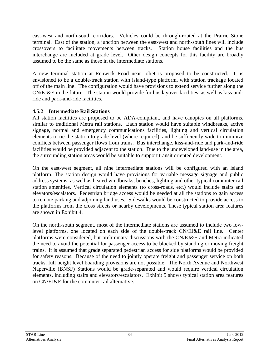east-west and north-south corridors. Vehicles could be through-routed at the Prairie Stone terminal. East of the station, a junction between the east-west and north-south lines will include crossovers to facilitate movements between tracks. Station house facilities and the bus interchange are included at grade level. Other design concepts for this facility are broadly assumed to be the same as those in the intermediate stations.

A new terminal station at Renwick Road near Joliet is proposed to be constructed. It is envisioned to be a double-track station with island-type platform, with station trackage located off of the main line. The configuration would have provisions to extend service further along the CN/EJ&E in the future. The station would provide for bus layover facilities, as well as kiss-andride and park-and-ride facilities.

#### **4.5.2 Intermediate Rail Stations**

All station facilities are proposed to be ADA-compliant, and have canopies on all platforms, similar to traditional Metra rail stations. Each station would have suitable windbreaks, active signage, normal and emergency communications facilities, lighting and vertical circulation elements to tie the station to grade level (where required), and be sufficiently wide to minimize conflicts between passenger flows from trains. Bus interchange, kiss-and-ride and park-and-ride facilities would be provided adjacent to the station. Due to the undeveloped land-use in the area, the surrounding station areas would be suitable to support transit oriented development.

On the east-west segment, all nine intermediate stations will be configured with an island platform. The station design would have provisions for variable message signage and public address systems, as well as heated windbreaks, benches, lighting and other typical commuter rail station amenities. Vertical circulation elements (to cross-roads, etc.) would include stairs and elevators/escalators. Pedestrian bridge access would be needed at all the stations to gain access to remote parking and adjoining land uses. Sidewalks would be constructed to provide access to the platforms from the cross streets or nearby developments. These typical station area features are shown in Exhibit 4.

On the north-south segment, most of the intermediate stations are assumed to include two lowlevel platforms, one located on each side of the double-track CN/EJ&E rail line. Center platforms were considered, but preliminary discussions with the CN/EJ&E and Metra indicated the need to avoid the potential for passenger access to be blocked by standing or moving freight trains. It is assumed that grade separated pedestrian access for side platforms would be provided for safety reasons. Because of the need to jointly operate freight and passenger service on both tracks, full height level boarding provisions are not possible. The North Avenue and Northwest Naperville (BNSF) Stations would be grade-separated and would require vertical circulation elements, including stairs and elevators/escalators. Exhibit 5 shows typical station area features on CN/EJ&E for the commuter rail alternative.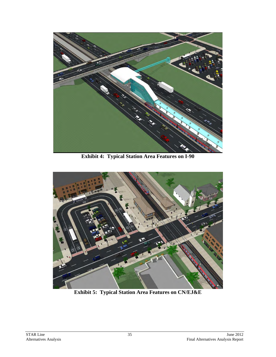

**Exhibit 4: Typical Station Area Features on I-90** 



**Exhibit 5: Typical Station Area Features on CN/EJ&E**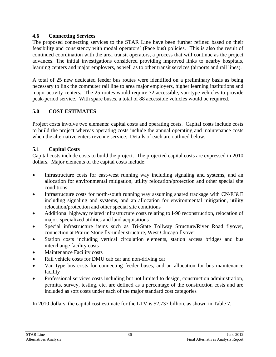#### **4.6 Connecting Services**

The proposed connecting services to the STAR Line have been further refined based on their feasibility and consistency with modal operators' (Pace bus) policies. This is also the result of continued coordination with the area transit operators, a process that will continue as the project advances. The initial investigations considered providing improved links to nearby hospitals, learning centers and major employers, as well as to other transit services (airports and rail lines).

A total of 25 new dedicated feeder bus routes were identified on a preliminary basis as being necessary to link the commuter rail line to area major employers, higher learning institutions and major activity centers. The 25 routes would require 72 accessible, van-type vehicles to provide peak-period service. With spare buses, a total of 88 accessible vehicles would be required.

# **5.0 COST ESTIMATES**

Project costs involve two elements: capital costs and operating costs. Capital costs include costs to build the project whereas operating costs include the annual operating and maintenance costs when the alternative enters revenue service. Details of each are outlined below.

#### **5.1 Capital Costs**

Capital costs include costs to build the project. The projected capital costs are expressed in 2010 dollars. Major elements of the capital costs include:

- Infrastructure costs for east-west running way including signaling and systems, and an allocation for environmental mitigation, utility relocation/protection and other special site conditions
- Infrastructure costs for north-south running way assuming shared trackage with CN/EJ&E including signaling and systems, and an allocation for environmental mitigation, utility relocation/protection and other special site conditions
- Additional highway related infrastructure costs relating to I-90 reconstruction, relocation of major, specialized utilities and land acquisitions
- Special infrastructure items such as Tri-State Tollway Structure/River Road flyover, connection at Prairie Stone fly-under structure, West Chicago flyover
- Station costs including vertical circulation elements, station access bridges and bus interchange facility costs
- Maintenance Facility costs
- Rail vehicle costs for DMU cab car and non-driving car
- Van type bus costs for connecting feeder buses, and an allocation for bus maintenance facility
- Professional services costs including but not limited to design, construction administration, permits, survey, testing, etc. are defined as a percentage of the construction costs and are included as soft costs under each of the major standard cost categories

In 2010 dollars, the capital cost estimate for the LTV is \$2.737 billion, as shown in Table 7.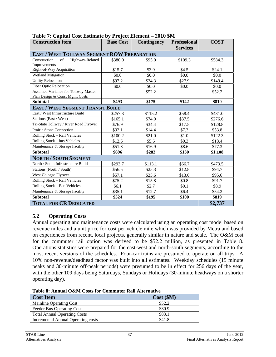| <b>Construction Item</b>                                                     | <b>Base Cost</b> | <b>Contingency</b> | <b>Professional</b><br><b>Services</b> | <b>COST</b> |
|------------------------------------------------------------------------------|------------------|--------------------|----------------------------------------|-------------|
| <b>EAST / WEST TOLLWAY SEGMENT ROW PREPARATION</b>                           |                  |                    |                                        |             |
| Highway-Related<br>Construction<br>of                                        | \$380.0          | \$95.0             | \$109.3                                | \$584.3     |
| Improvements                                                                 |                  |                    |                                        |             |
| Right-of-Way Acquisition                                                     | \$15.7           | \$3.9              | \$4.5                                  | \$24.1      |
| Wetland Mitigation                                                           | \$0.0\$          | \$0.0              | \$0.0                                  | \$0.0       |
| <b>Utility Relocation</b>                                                    | \$97.2           | \$24.3             | \$27.9                                 | \$149.4     |
| <b>Fiber Optic Relocation</b>                                                | \$0.0            | \$0.0              | \$0.0                                  | \$0.0       |
| <b>Assumed Variance for Tollway Master</b><br>Plan Design & Const Mgmt Costs |                  | \$52.2             |                                        | \$52.2      |
| <b>Subtotal</b>                                                              | \$493            | \$175              | \$142                                  | \$810       |
| <b>EAST / WEST SEGMENT TRANSIT BUILD</b>                                     |                  |                    |                                        |             |
| East / West Infrastructure Build                                             | \$257.3          | \$115.2            | \$58.4                                 | \$431.0     |
| Stations (East / West)                                                       | \$165.1          | \$74.0             | \$37.5                                 | \$276.6     |
| Tri-State Tollway / River Road Flyover                                       | \$76.9           | \$34.4             | \$17.5                                 | \$128.8     |
| Prairie Stone Connection                                                     | \$32.1           | \$14.4             | \$7.3                                  | \$53.8      |
| Rolling Stock - Rail Vehicles                                                | \$100.2          | \$21.0             | \$1.0                                  | \$122.3     |
| Rolling Stock - bus Vehicles                                                 | \$12.6           | \$5.6              | \$0.3\$                                | \$18.4      |
| Maintenance & Storage Facility                                               | \$51.8           | \$16.9             | \$8.6                                  | \$77.3      |
| <b>Subtotal</b>                                                              | \$696            | \$282              | \$130                                  | \$1,108     |
| <b>NORTH / SOUTH SEGMENT</b>                                                 |                  |                    |                                        |             |
| North / South Infrastructure Build                                           | \$293.7          | \$113.1            | \$66.7                                 | \$473.5     |
| Stations (North / South)                                                     | \$56.5           | \$25.3             | \$12.8                                 | \$94.7      |
| West Chicago Flyover                                                         | \$57.1           | \$25.6             | \$13.0                                 | \$95.6      |
| Rolling Stock - Rail Vehicles                                                | \$75.2           | \$15.8             | \$0.8                                  | \$91.7      |
| Rolling Stock - Bus Vehicles                                                 | \$6.1            | \$2.7              | \$0.1                                  | \$8.9       |
| Maintenance & Storage Facility                                               | \$35.1           | \$12.7             | \$6.4                                  | \$54.2      |
| <b>Subtotal</b>                                                              | \$524            | \$195              | \$100                                  | \$819       |
| <b>TOTAL FOR CR DEDICATED</b>                                                | \$2,737          |                    |                                        |             |

**Table 7: Capital Cost Estimate by Project Element – 2010 \$M** 

#### **5.2 Operating Costs**

Annual operating and maintenance costs were calculated using an operating cost model based on revenue miles and a unit price for cost per vehicle mile which was provided by Metra and based on experiences from recent, local projects, generally similar in nature and scale. The O&M cost for the commuter rail option was derived to be \$52.2 million, as presented in Table 8. Operations statistics were prepared for the east-west and north-south segments, according to the most recent versions of the schedules. Four-car trains are presumed to operate on all trips. A 10% non-revenue/deadhead factor was built into all estimates. Weekday schedules (15 minute peaks and 30-minute off-peak periods) were presumed to be in effect for 256 days of the year, with the other 109 days being Saturdays, Sundays or Holidays (30-minute headways on a shorter operating day).

**Table 8: Annual O&M Costs for Commuter Rail Alternative**

| <b>Cost Item</b>                    | Cost(SM) |
|-------------------------------------|----------|
| Mainline Operating Cost             | \$52.2   |
| Feeder Bus Operating Cost           | \$30.9   |
| <b>Total Annual Operating Costs</b> | \$83.1   |
| Incremental Annual Operating costs  | \$41.8   |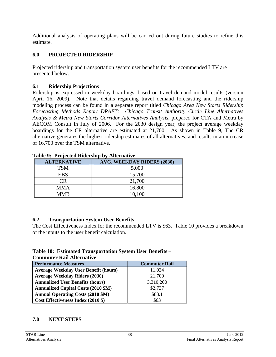Additional analysis of operating plans will be carried out during future studies to refine this estimate.

# **6.0 PROJECTED RIDERSHIP**

Projected ridership and transportation system user benefits for the recommended LTV are presented below.

#### **6.1 Ridership Projections**

Ridership is expressed in weekday boardings, based on travel demand model results (version April 16, 2009). Note that details regarding travel demand forecasting and the ridership modeling process can be found in a separate report titled *Chicago Area New Starts Ridership Forecasting Methods Report DRAFT: Chicago Transit Authority Circle Line Alternatives Analysis & Metra New Starts Corridor Alternatives Analysis*, prepared for CTA and Metra by AECOM Consult in July of 2006. For the 2030 design year, the project average weekday boardings for the CR alternative are estimated at 21,700. As shown in Table 9, The CR alternative generates the highest ridership estimates of all alternatives, and results in an increase of 16,700 over the TSM alternative.

| <b>ALTERNATIVE</b>     | <b>AVG. WEEKDAY RIDERS (2030)</b> |
|------------------------|-----------------------------------|
| <b>TSM</b>             | 5,000                             |
| <b>EBS</b>             | 15,700                            |
| $\mathbb{C}\mathsf{R}$ | 21,700                            |
| <b>MMA</b>             | 16,800                            |
| <b>MMB</b>             | 10,100                            |

**Table 9: Projected Ridership by Alternative** 

# **6.2 Transportation System User Benefits**

The Cost Effectiveness Index for the recommended LTV is \$63. Table 10 provides a breakdown of the inputs to the user benefit calculation.

# **Table 10: Estimated Transportation System User Benefits –**

| <b>Commuter Rail Alternative</b>            |                      |
|---------------------------------------------|----------------------|
| <b>Performance Measures</b>                 | <b>Commuter Rail</b> |
| <b>Average Weekday User Benefit (hours)</b> | 11,034               |
| <b>Average Weekday Riders (2030)</b>        | 21,700               |
| <b>Annualized User Benefits (hours)</b>     | 3,310,200            |
| <b>Annualized Capital Costs (2010 \$M)</b>  | \$2,737              |
| <b>Annual Operating Costs (2010 \$M)</b>    | \$83.1               |
| Cost Effectiveness Index (2010 \$)          | \$63                 |

# **7.0 NEXT STEPS**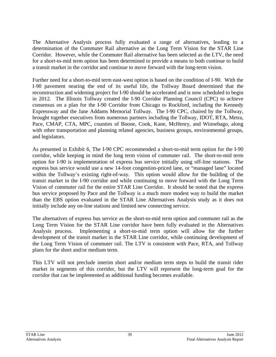The Alternative Analysis process fully evaluated a range of alternatives, leading to a determination of the Commuter Rail alternative as the Long Term Vision for the STAR Line Corridor. However, while the Commuter Rail alternative has been selected as the LTV, the need for a short-to-mid term option has been determined to provide a means to both continue to build a transit market in the corridor and continue to move forward with the long-term vision.

Further need for a short-to-mid term east-west option is based on the condition of I-90. With the I-90 pavement nearing the end of its useful life, the Tollway Board determined that the reconstruction and widening project for I-90 should be accelerated and is now scheduled to begin in 2012. The Illinois Tollway created the I-90 Corridor Planning Council (CPC) to achieve consensus on a plan for the I-90 Corridor from Chicago to Rockford, including the Kennedy Expressway and the Jane Addams Memorial Tollway. The I-90 CPC, chaired by the Tollway, brought together executives from numerous partners including the Tollway, IDOT, RTA, Metra, Pace, CMAP, CTA, MPC, counties of Boone, Cook, Kane, McHenry, and Winnebago, along with other transportation and planning related agencies, business groups, environmental groups, and legislators.

As presented in Exhibit 6, The I-90 CPC recommended a short-to-mid term option for the I-90 corridor, while keeping in mind the long term vision of commuter rail. The short-to-mid term option for I-90 is implementation of express bus service initially using off-line stations. The express bus service would use a new 14-foot congestion-priced lane, or "managed lane" located within the Tollway's existing right-of-way. This option would allow for the building of the transit market in the I-90 corridor and while continuing to move forward with the Long Term Vision of commuter rail for the entire STAR Line Corridor. It should be noted that the express bus service proposed by Pace and the Tollway is a much more modest way to build the market than the EBS option evaluated in the STAR Line Alternatives Analysis study as it does not initially include any on-line stations and limited new connecting service.

The alternatives of express bus service as the short-to-mid term option and commuter rail as the Long Term Vision for the STAR Line corridor have been fully evaluated in the Alternatives Analysis process. Implementing a short-to-mid term option will allow for the further development of the transit market in the STAR Line corridor, while continuing development of the Long Term Vision of commuter rail. The LTV is consistent with Pace, RTA, and Tollway plans for the short and/or medium term.

This LTV will not preclude interim short and/or medium term steps to build the transit rider market in segments of this corridor, but the LTV will represent the long-term goal for the corridor that can be implemented as additional funding becomes available.